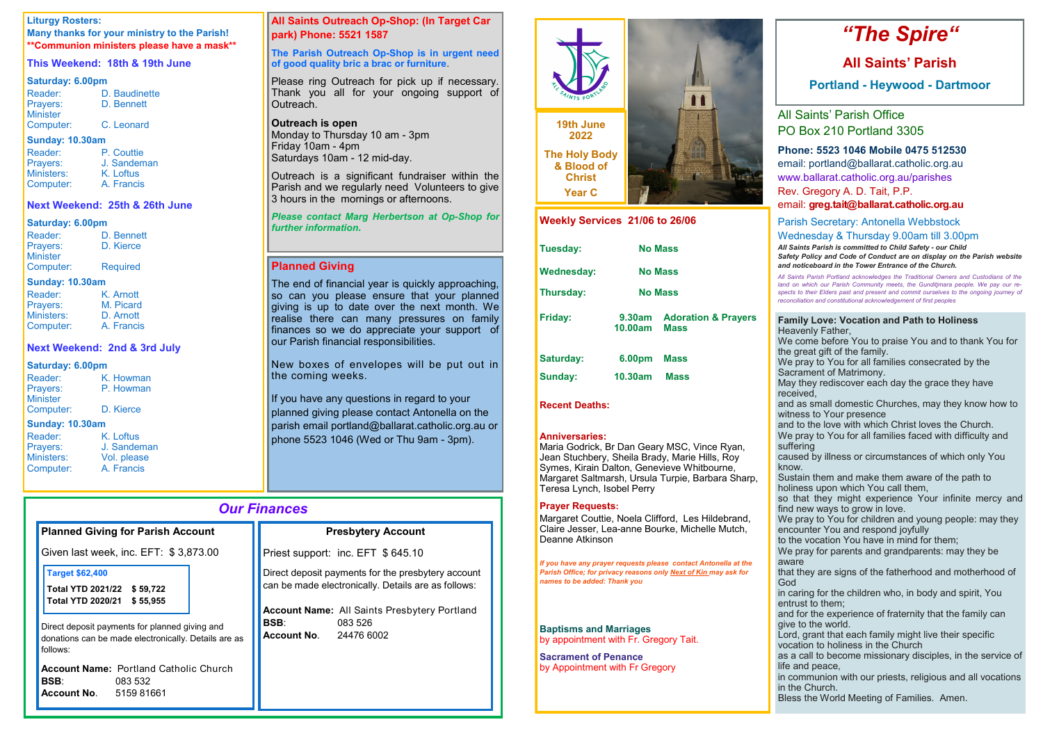## *Our Finances*

| <b>Planned Giving for Parish Account</b>                                                                           | <b>Presbytery Account</b>                                                                                      |  |
|--------------------------------------------------------------------------------------------------------------------|----------------------------------------------------------------------------------------------------------------|--|
| Given last week, inc. EFT: \$3,873.00                                                                              | Priest support: inc. EFT \$645.10                                                                              |  |
| <b>Target \$62,400</b><br>Total YTD 2021/22 \$59,722<br><b>Total YTD 2020/21</b><br>\$55,955                       | Direct deposit payments for the presbytery account<br>can be made electronically. Details are as follows:      |  |
| Direct deposit payments for planned giving and<br>donations can be made electronically. Details are as<br>follows: | <b>Account Name:</b> All Saints Presbytery Portland<br><b>BSB:</b><br>083 526<br><b>Account No. 24476 6002</b> |  |
| <b>Account Name: Portland Catholic Church</b><br><b>BSB:</b><br>083 532<br><b>Account No. 5159 81661</b>           |                                                                                                                |  |

| D. Bennett      |
|-----------------|
| D. Kierce       |
|                 |
| <b>Required</b> |
|                 |

## **Liturgy Rosters:**

**Many thanks for your ministry to the Parish! \*\*Communion ministers please have a mask\*\***

## **This Weekend: 18th & 19th June**

#### **Saturday: 6.00pm**

| Reader:         | D. Baudinette |
|-----------------|---------------|
| Prayers:        | D. Bennett    |
| <b>Minister</b> |               |
| Computer:       | C. Leonard    |

#### **Sunday: 10.30am**

Outreach is a significant fundraiser within the Parish and we regularly need Volunteers to give 3 hours in the mornings or afternoons.

| Reader:    | P. Couttie  |
|------------|-------------|
| Prayers:   | J. Sandeman |
| Ministers: | K. Loftus   |
| Computer:  | A. Francis  |

## **Next Weekend: 25th & 26th June**

#### **Saturday: 6.00pm**

The end of financial year is quickly approaching, so can you please ensure that your planned giving is up to date over the next month. We realise there can many pressures on family finances so we do appreciate your support of our Parish financial responsibilities.

### **Sunday: 10.30am**

| Reader:    | K. Arnott  |
|------------|------------|
| Prayers:   | M. Picard  |
| Ministers: | D. Arnott  |
| Computer:  | A. Francis |

New boxes of envelopes will be put out in the coming weeks.

## **Next Weekend: 2nd & 3rd July**

## **Saturday: 6.00pm**

| Reader:         | K. Howman |  |
|-----------------|-----------|--|
| Prayers:        | P. Howman |  |
| <b>Minister</b> |           |  |
| Computer:       | D. Kierce |  |
| Sunday: 10.30am |           |  |

If you have any questions in regard to your planned giving please contact Antonella on the parish email portland@ballarat.catholic.org.au or phone 5523 1046 (Wed or Thu 9am - 3pm).

### **Sunday: 10.30am**

| Reader:          |
|------------------|
| Prayers:         |
| <b>Ministers</b> |
| Compute          |

K. Loftus J. Sandeman Vol. please er: A. Francis

## **All Saints Outreach Op-Shop: (In Target Car park) Phone: 5521 1587**

## **The Parish Outreach Op-Shop is in urgent need of good quality bric a brac or furniture**.

Please ring Outreach for pick up if necessary. Thank you all for your ongoing support of Outreach.

## **Outreach is open**

Monday to Thursday 10 am - 3pm Friday 10am - 4pm Saturdays 10am - 12 mid-day.

### *Please contact Marg Herbertson at Op-Shop for further information.*

## **Planned Giving**

## **Family Love: Vocation and Path to Holiness** avenly Father,

e come before You to praise You and to thank You for e great gift of the family.

e pray to You for all families consecrated by the crament of Matrimony.

ay they rediscover each day the grace they have ceived.

d as small domestic Churches, may they know how to tness to Your presence

d to the love with which Christ loves the Church.

e pray to You for all families faced with difficulty and ffering

used by illness or circumstances of which only You ow.

istain them and make them aware of the path to liness upon which You call them,

that they might experience Your infinite mercy and d new ways to grow in love.

e pray to You for children and young people: may they counter You and respond joyfully

the vocation You have in mind for them;

e pray for parents and grandparents: may they be are

at they are signs of the fatherhood and motherhood of

caring for the children who, in body and spirit, You trust to them;

d for the experience of fraternity that the family can e to the world.

rd, grant that each family might live their specific cation to holiness in the Church

a call to become missionary disciples, in the service of and peace.

communion with our priests, religious and all vocations the Church.

ess the World Meeting of Families. Amen.

## *"The Spire"*

## **All Saints' Parish**

**Portland - Heywood - Dartmoor**

All Saints' Parish Office PO Box 210 Portland 3305

## **Phone: 5523 1046 Mobile 0475 512530**

email: portland@ballarat.catholic.org.au www.ballarat.catholic.org.au/parishes Rev. Gregory A. D. Tait, P.P.

email: **greg.tait@ballarat.catholic.org.au**

## Parish Secretary: Antonella Webbstock Wednesday & Thursday 9.00am till 3.00pm

*All Saints Parish is committed to Child Safety - our Child* fety Policy and Code of Conduct are on display on the Parish website *and noticeboard in the Tower Entrance of the Church.*

*All Saints Parish Portland acknowledges the Traditional Owners and Custodians of the*  d on which our Parish Community meets, the Gunditjmara people. We pay our re*spects to their Elders past and present and commit ourselves to the ongoing journey of reconciliation and constitutional acknowledgement of first peoples*

| TE SAINTS PORTLAND                                                                        |                |
|-------------------------------------------------------------------------------------------|----------------|
| 19th June<br>2022<br><b>The Holy Body</b><br>& Blood of<br><b>Christ</b><br><b>Year C</b> |                |
| ML-TELLO                                                                                  | $1001 - 00100$ |

| <b>VVECKIV SETVICES Z'I/UD TO ZDIUD</b> |                          |                                               |  |
|-----------------------------------------|--------------------------|-----------------------------------------------|--|
| Tuesday:                                |                          | <b>No Mass</b>                                |  |
| <b>Wednesday:</b>                       | <b>No Mass</b>           |                                               |  |
| Thursday:                               | <b>No Mass</b>           |                                               |  |
| <b>Friday:</b>                          | <b>9.30am</b><br>10.00am | <b>Adoration &amp; Prayers</b><br><b>Mass</b> |  |
| <b>Saturday:</b>                        | 6.00pm                   | <b>Mass</b>                                   |  |
| <b>Sunday:</b>                          | 10.30am                  | <b>Mass</b>                                   |  |

## **Recent Deaths:**

#### **Anniversaries:**

Maria Godrick, Br Dan Geary MSC, Vince Ryan, Jean Stuchbery, Sheila Brady, Marie Hills, Roy Symes, Kirain Dalton, Genevieve Whitbourne, Margaret Saltmarsh, Ursula Turpie, Barbara Sharp, Teresa Lynch, Isobel Perry

#### **Prayer Requests:**

Margaret Couttie, Noela Clifford, Les Hildebrand, Claire Jesser, Lea-anne Bourke, Michelle Mutch, Deanne Atkinson

*If you have any prayer requests please contact Antonella at the Parish Office; for privacy reasons only Next of Kin may ask for names to be added: Thank you*

**Baptisms and Marriages**  by appointment with Fr. Gregory Tait.

**Sacrament of Penance**  by Appointment with Fr Gregory



| Wed<br>All Sa<br><b>Safet</b><br>and n<br>All Sai<br>land o<br>spects<br>reconc                 |
|-------------------------------------------------------------------------------------------------|
| Fam<br>Hea<br>We<br>We<br>We<br>Saci<br>May<br>rece<br>rece<br>and<br>witn                      |
| and<br>We<br>suffe<br>caus<br>knov<br>Sust<br>holir                                             |
| so t<br>so t<br>find<br>We<br>enco<br>$\mathop{\rm to}\nolimits$ th<br>We<br>awa<br>that<br>God |
| in ca<br>entri<br>and<br>give<br>'<br>Lorc<br>voca<br>as a<br>as a<br>life a<br>in co<br>in th  |
| <b>Bles</b>                                                                                     |